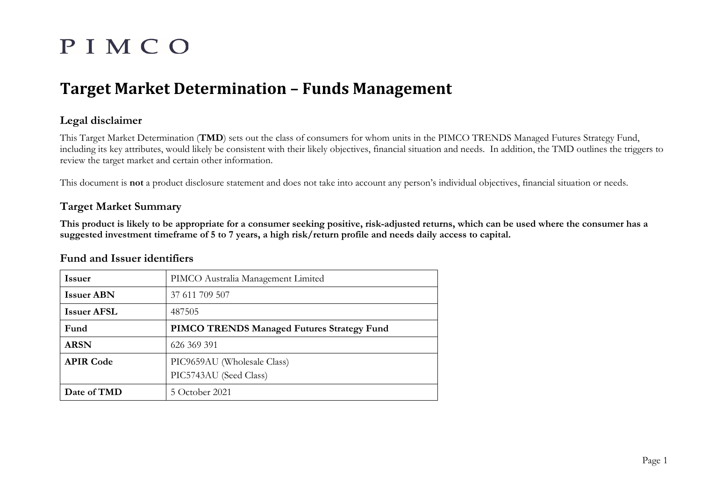# PIMCO

# **Target Market Determination – Funds Management**

# **Legal disclaimer**

This Target Market Determination (**TMD**) sets out the class of consumers for whom units in the PIMCO TRENDS Managed Futures Strategy Fund, including its key attributes, would likely be consistent with their likely objectives, financial situation and needs. In addition, the TMD outlines the triggers to review the target market and certain other information.

This document is **not** a product disclosure statement and does not take into account any person's individual objectives, financial situation or needs.

# **Target Market Summary**

**This product is likely to be appropriate for a consumer seeking positive, risk-adjusted returns, which can be used where the consumer has a suggested investment timeframe of 5 to 7 years, a high risk/return profile and needs daily access to capital.** 

# **Fund and Issuer identifiers**

| <b>Issuer</b>      | PIMCO Australia Management Limited                |
|--------------------|---------------------------------------------------|
| <b>Issuer ABN</b>  | 37 611 709 507                                    |
| <b>Issuer AFSL</b> | 487505                                            |
| Fund               | <b>PIMCO TRENDS Managed Futures Strategy Fund</b> |
| <b>ARSN</b>        | 626 369 391                                       |
| <b>APIR Code</b>   | PIC9659AU (Wholesale Class)                       |
|                    | PIC5743AU (Seed Class)                            |
| Date of TMD        | 5 October 2021                                    |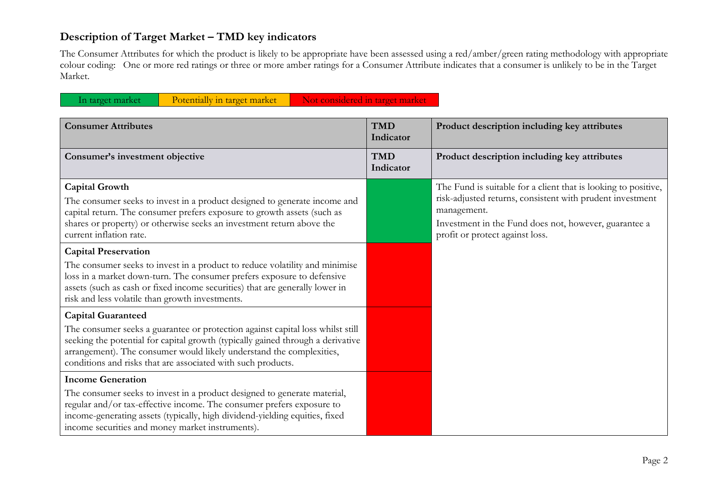# **Description of Target Market – TMD key indicators**

The Consumer Attributes for which the product is likely to be appropriate have been assessed using a red/amber/green rating methodology with appropriate colour coding: One or more red ratings or three or more amber ratings for a Consumer Attribute indicates that a consumer is unlikely to be in the Target Market.

| In target market<br>Potentially in target market                                                                                                                                                                                                                                                                                       | Not considered in target market |                                                                                                                                                                                                                                        |
|----------------------------------------------------------------------------------------------------------------------------------------------------------------------------------------------------------------------------------------------------------------------------------------------------------------------------------------|---------------------------------|----------------------------------------------------------------------------------------------------------------------------------------------------------------------------------------------------------------------------------------|
| <b>Consumer Attributes</b>                                                                                                                                                                                                                                                                                                             | <b>TMD</b><br>Indicator         | Product description including key attributes                                                                                                                                                                                           |
| Consumer's investment objective                                                                                                                                                                                                                                                                                                        | <b>TMD</b><br>Indicator         | Product description including key attributes                                                                                                                                                                                           |
| <b>Capital Growth</b><br>The consumer seeks to invest in a product designed to generate income and<br>capital return. The consumer prefers exposure to growth assets (such as<br>shares or property) or otherwise seeks an investment return above the<br>current inflation rate.                                                      |                                 | The Fund is suitable for a client that is looking to positive,<br>risk-adjusted returns, consistent with prudent investment<br>management.<br>Investment in the Fund does not, however, guarantee a<br>profit or protect against loss. |
| <b>Capital Preservation</b><br>The consumer seeks to invest in a product to reduce volatility and minimise<br>loss in a market down-turn. The consumer prefers exposure to defensive<br>assets (such as cash or fixed income securities) that are generally lower in<br>risk and less volatile than growth investments.                |                                 |                                                                                                                                                                                                                                        |
| <b>Capital Guaranteed</b><br>The consumer seeks a guarantee or protection against capital loss whilst still<br>seeking the potential for capital growth (typically gained through a derivative<br>arrangement). The consumer would likely understand the complexities,<br>conditions and risks that are associated with such products. |                                 |                                                                                                                                                                                                                                        |
| <b>Income Generation</b><br>The consumer seeks to invest in a product designed to generate material,<br>regular and/or tax-effective income. The consumer prefers exposure to<br>income-generating assets (typically, high dividend-yielding equities, fixed<br>income securities and money market instruments).                       |                                 |                                                                                                                                                                                                                                        |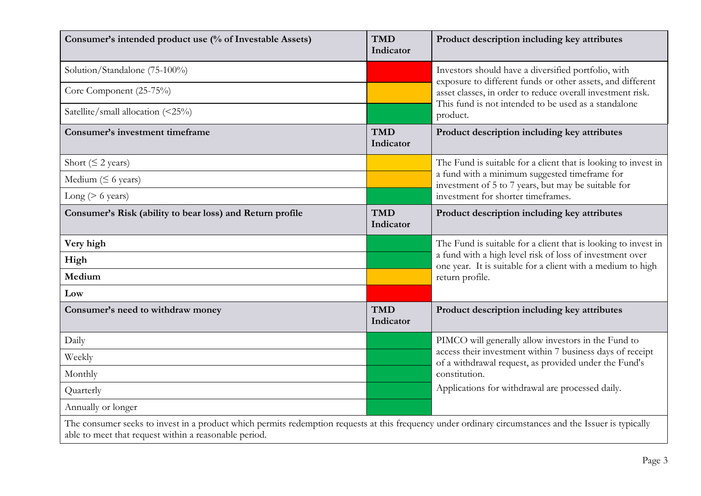| Consumer's intended product use (% of Investable Assets)                                                                                                                                                        | <b>TMD</b><br>Indicator | Product description including key attributes                                                                                                                                                                                                        |  |
|-----------------------------------------------------------------------------------------------------------------------------------------------------------------------------------------------------------------|-------------------------|-----------------------------------------------------------------------------------------------------------------------------------------------------------------------------------------------------------------------------------------------------|--|
| Solution/Standalone (75-100%)                                                                                                                                                                                   |                         | Investors should have a diversified portfolio, with<br>exposure to different funds or other assets, and different<br>asset classes, in order to reduce overall investment risk.<br>This fund is not intended to be used as a standalone<br>product. |  |
| Core Component (25-75%)                                                                                                                                                                                         |                         |                                                                                                                                                                                                                                                     |  |
| Satellite/small allocation (<25%)                                                                                                                                                                               |                         |                                                                                                                                                                                                                                                     |  |
| <b>Consumer's investment timeframe</b>                                                                                                                                                                          | <b>TMD</b><br>Indicator | Product description including key attributes                                                                                                                                                                                                        |  |
| Short ( $\leq$ 2 years)                                                                                                                                                                                         |                         | The Fund is suitable for a client that is looking to invest in<br>a fund with a minimum suggested timeframe for<br>investment of 5 to 7 years, but may be suitable for<br>investment for shorter timeframes.                                        |  |
| Medium ( $\leq$ 6 years)                                                                                                                                                                                        |                         |                                                                                                                                                                                                                                                     |  |
| Long ( $> 6$ years)                                                                                                                                                                                             |                         |                                                                                                                                                                                                                                                     |  |
| Consumer's Risk (ability to bear loss) and Return profile                                                                                                                                                       | <b>TMD</b><br>Indicator | Product description including key attributes                                                                                                                                                                                                        |  |
| Very high                                                                                                                                                                                                       |                         | The Fund is suitable for a client that is looking to invest in                                                                                                                                                                                      |  |
| High                                                                                                                                                                                                            |                         | a fund with a high level risk of loss of investment over<br>one year. It is suitable for a client with a medium to high<br>return profile.                                                                                                          |  |
| Medium                                                                                                                                                                                                          |                         |                                                                                                                                                                                                                                                     |  |
| Low                                                                                                                                                                                                             |                         |                                                                                                                                                                                                                                                     |  |
| Consumer's need to withdraw money                                                                                                                                                                               | <b>TMD</b><br>Indicator | Product description including key attributes                                                                                                                                                                                                        |  |
| Daily                                                                                                                                                                                                           |                         | PIMCO will generally allow investors in the Fund to<br>access their investment within 7 business days of receipt<br>of a withdrawal request, as provided under the Fund's<br>constitution.<br>Applications for withdrawal are processed daily.      |  |
| Weekly                                                                                                                                                                                                          |                         |                                                                                                                                                                                                                                                     |  |
| Monthly                                                                                                                                                                                                         |                         |                                                                                                                                                                                                                                                     |  |
| Quarterly                                                                                                                                                                                                       |                         |                                                                                                                                                                                                                                                     |  |
| Annually or longer                                                                                                                                                                                              |                         |                                                                                                                                                                                                                                                     |  |
| The consumer seeks to invest in a product which permits redemption requests at this frequency under ordinary circumstances and the Issuer is typically<br>able to meet that request within a reasonable period. |                         |                                                                                                                                                                                                                                                     |  |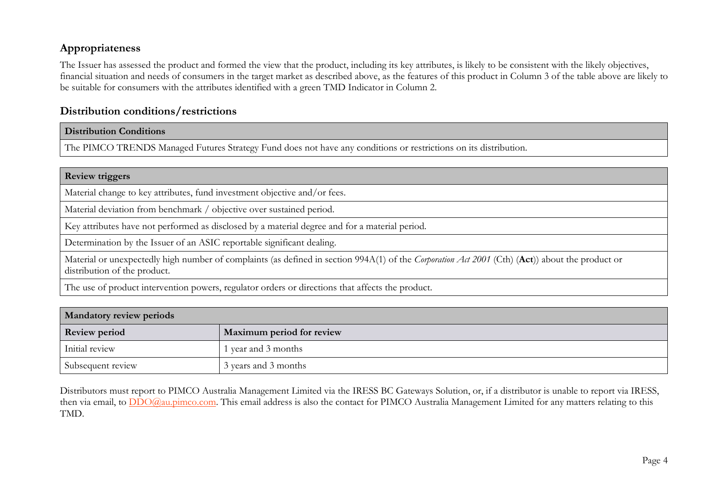# **Appropriateness**

The Issuer has assessed the product and formed the view that the product, including its key attributes, is likely to be consistent with the likely objectives, financial situation and needs of consumers in the target market as described above, as the features of this product in Column 3 of the table above are likely to be suitable for consumers with the attributes identified with a green TMD Indicator in Column 2.

# **Distribution conditions/restrictions**

#### **Distribution Conditions**

The PIMCO TRENDS Managed Futures Strategy Fund does not have any conditions or restrictions on its distribution.

#### **Review triggers**

Material change to key attributes, fund investment objective and/or fees.

Material deviation from benchmark / objective over sustained period.

Key attributes have not performed as disclosed by a material degree and for a material period.

Determination by the Issuer of an ASIC reportable significant dealing.

Material or unexpectedly high number of complaints (as defined in section 994A(1) of the *Corporation Act 2001* (Cth) (**Act**)) about the product or distribution of the product.

The use of product intervention powers, regulator orders or directions that affects the product.

| Mandatory review periods |                           |  |
|--------------------------|---------------------------|--|
| <b>Review period</b>     | Maximum period for review |  |
| Initial review           | l year and 3 months       |  |
| Subsequent review        | 3 years and 3 months      |  |

Distributors must report to PIMCO Australia Management Limited via the IRESS BC Gateways Solution, or, if a distributor is unable to report via IRESS, then via email, to [DDO@au.pimco.com.](mailto:DDO@au.pimco.com) This email address is also the contact for PIMCO Australia Management Limited for any matters relating to this TMD.